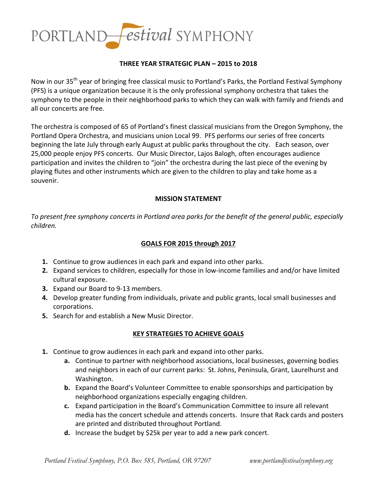

## **THREE YEAR STRATEGIC PLAN – 2015 to 2018**

Now in our 35<sup>th</sup> year of bringing free classical music to Portland's Parks, the Portland Festival Symphony (PFS) is a unique organization because it is the only professional symphony orchestra that takes the symphony to the people in their neighborhood parks to which they can walk with family and friends and all our concerts are free.

The orchestra is composed of 65 of Portland's finest classical musicians from the Oregon Symphony, the Portland Opera Orchestra, and musicians union Local 99. PFS performs our series of free concerts beginning the late July through early August at public parks throughout the city. Each season, over 25,000 people enjoy PFS concerts. Our Music Director, Lajos Balogh, often encourages audience participation and invites the children to "join" the orchestra during the last piece of the evening by playing flutes and other instruments which are given to the children to play and take home as a souvenir. 

### **MISSION STATEMENT**

To present free symphony concerts in Portland area parks for the benefit of the general public, especially *children.*

## GOALS FOR 2015 through 2017

- **1.** Continue to grow audiences in each park and expand into other parks.
- **2.** Expand services to children, especially for those in low-income families and and/or have limited cultural exposure.
- **3.** Expand our Board to 9-13 members.
- 4. Develop greater funding from individuals, private and public grants, local small businesses and corporations.
- **5.** Search for and establish a New Music Director.

### **KEY STRATEGIES TO ACHIEVE GOALS**

- **1.** Continue to grow audiences in each park and expand into other parks.
	- **a.** Continue to partner with neighborhood associations, local businesses, governing bodies and neighbors in each of our current parks: St. Johns, Peninsula, Grant, Laurelhurst and Washington.
	- **b.** Expand the Board's Volunteer Committee to enable sponsorships and participation by neighborhood organizations especially engaging children.
	- **c.** Expand participation in the Board's Communication Committee to insure all relevant media has the concert schedule and attends concerts. Insure that Rack cards and posters are printed and distributed throughout Portland.
	- **d.** Increase the budget by \$25k per year to add a new park concert.